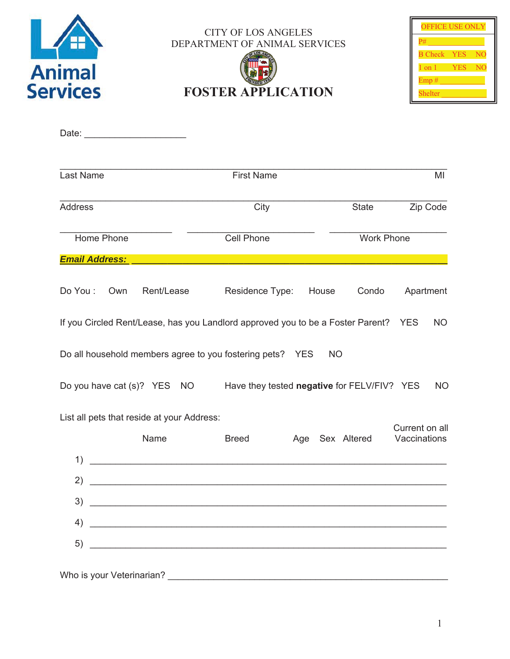

CITY OF LOS ANGELES DEPARTMENT OF ANIMAL SERVICES

# **FOSTER APPLICATION**

| <b>OFFICE USE ONLY</b> |            |    |  |
|------------------------|------------|----|--|
| P#                     |            |    |  |
| <b>B</b> Check         | <b>YES</b> | NO |  |
| 1 on 1                 | YES        | NС |  |
| Emp#                   |            |    |  |
| Shelter                |            |    |  |

| Last Name                                                                                                                  | <b>First Name</b>                                                                                                    | MI                                                |  |  |
|----------------------------------------------------------------------------------------------------------------------------|----------------------------------------------------------------------------------------------------------------------|---------------------------------------------------|--|--|
| <b>Address</b>                                                                                                             | City                                                                                                                 | State<br>Zip Code                                 |  |  |
| Home Phone                                                                                                                 | Cell Phone                                                                                                           | <b>Work Phone</b>                                 |  |  |
| <b>Email Address:</b>                                                                                                      |                                                                                                                      |                                                   |  |  |
| Rent/Lease<br>Do You:<br>Own                                                                                               | Residence Type:<br>House                                                                                             | Apartment<br>Condo                                |  |  |
| If you Circled Rent/Lease, has you Landlord approved you to be a Foster Parent?<br><b>YES</b><br><b>NO</b>                 |                                                                                                                      |                                                   |  |  |
|                                                                                                                            | Do all household members agree to you fostering pets? YES                                                            | <b>NO</b>                                         |  |  |
|                                                                                                                            | Do you have cat (s)? YES NO Have they tested negative for FELV/FIV? YES                                              | <b>NO</b>                                         |  |  |
| List all pets that reside at your Address:                                                                                 |                                                                                                                      |                                                   |  |  |
| Name                                                                                                                       | <b>Breed</b>                                                                                                         | Current on all<br>Vaccinations<br>Age Sex Altered |  |  |
| 1)                                                                                                                         | <u> 1989 - Johann Barbara, martxa amerikan personal (</u>                                                            |                                                   |  |  |
| $\mathbf{2}$                                                                                                               |                                                                                                                      |                                                   |  |  |
| 3)<br><u> 1980 - Jan Samuel Barbara, martin da shekara 1980 - An tsa a tsa a tsa a tsa a tsa a tsa a tsa a tsa a tsa a</u> |                                                                                                                      |                                                   |  |  |
| 4)                                                                                                                         | <u> 1980 - Johann Barn, mars ann an t-Amhain Aonaich an t-Aonaich an t-Aonaich ann an t-Aonaich ann an t-Aonaich</u> |                                                   |  |  |
| 5)                                                                                                                         | <u> 1989 - Johann Stoff, amerikansk politiker (d. 1989)</u>                                                          |                                                   |  |  |
| Who is your Veterinarian?                                                                                                  |                                                                                                                      |                                                   |  |  |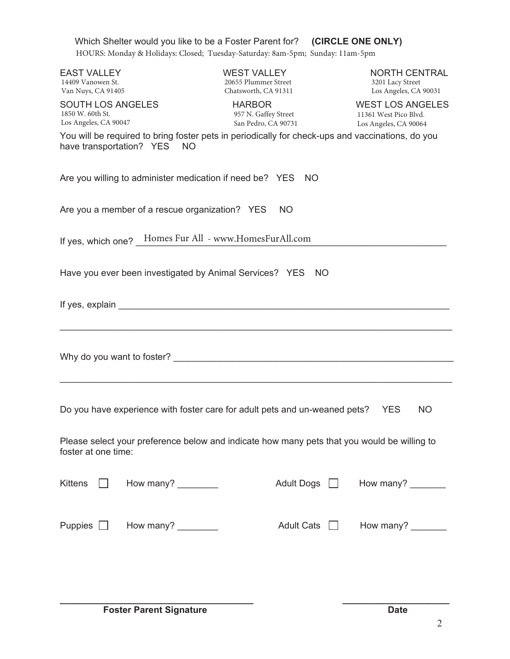| Which Shelter would you like to be a Foster Parent for? (CIRCLE ONE ONLY)<br>HOURS: Monday & Holidays: Closed; Tuesday-Saturday: 8am-5pm; Sunday: 11am-5pm |                                                                    |                                                                           |  |  |
|------------------------------------------------------------------------------------------------------------------------------------------------------------|--------------------------------------------------------------------|---------------------------------------------------------------------------|--|--|
| <b>EAST VALLEY</b><br>14409 Vanowen St.<br>Van Nuys, CA 91405                                                                                              | <b>WEST VALLEY</b><br>20655 Plummer Street<br>Chatsworth, CA 91311 | <b>NORTH CENTRAL</b><br>3201 Lacy Street<br>Los Angeles, CA 90031         |  |  |
| <b>SOUTH LOS ANGELES</b><br>1850 W. 60th St.<br>Los Angeles, CA 90047                                                                                      | <b>HARBOR</b><br>957 N. Gaffey Street<br>San Pedro, CA 90731       | <b>WEST LOS ANGELES</b><br>11361 West Pico Blvd.<br>Los Angeles, CA 90064 |  |  |
| You will be required to bring foster pets in periodically for check-ups and vaccinations, do you<br>have transportation? YES NO                            |                                                                    |                                                                           |  |  |
| Are you willing to administer medication if need be? YES NO                                                                                                |                                                                    |                                                                           |  |  |
| Are you a member of a rescue organization? YES<br><b>NO</b>                                                                                                |                                                                    |                                                                           |  |  |
| If yes, which one? _ Homes Fur All - www.HomesFurAll.com                                                                                                   |                                                                    |                                                                           |  |  |
| Have you ever been investigated by Animal Services? YES NO                                                                                                 |                                                                    |                                                                           |  |  |
|                                                                                                                                                            |                                                                    |                                                                           |  |  |
|                                                                                                                                                            |                                                                    |                                                                           |  |  |
| Do you have experience with foster care for adult pets and un-weaned pets?<br><b>YES</b><br><b>NO</b>                                                      |                                                                    |                                                                           |  |  |
| Please select your preference below and indicate how many pets that you would be willing to<br>foster at one time:                                         |                                                                    |                                                                           |  |  |
| How many?<br><b>Kittens</b>                                                                                                                                | <b>Adult Dogs</b>                                                  | How many?                                                                 |  |  |
| How many?<br>Puppies $\Box$                                                                                                                                | <b>Adult Cats</b>                                                  | How many?                                                                 |  |  |

**\_\_\_\_\_\_\_\_\_\_\_\_\_\_\_\_\_\_\_\_\_\_\_\_\_\_\_\_\_\_\_\_\_\_\_\_\_\_ \_\_\_\_\_\_\_\_\_\_\_\_\_\_\_\_\_\_\_\_\_**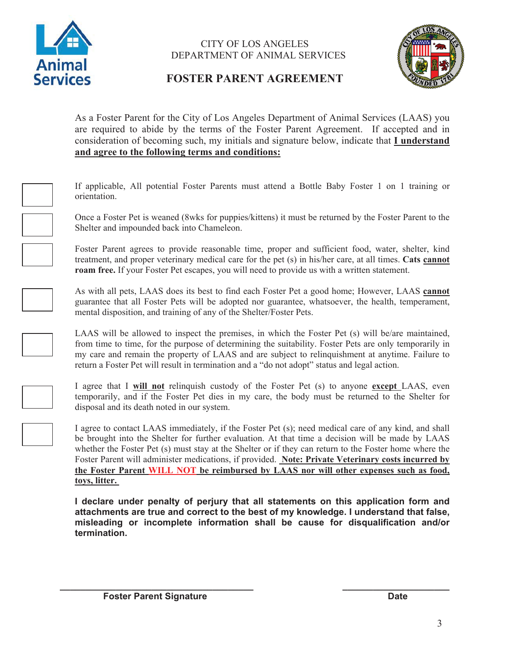

#### CITY OF LOS ANGELES DEPARTMENT OF ANIMAL SERVICES



## **FOSTER PARENT AGREEMENT**

As a Foster Parent for the City of Los Angeles Department of Animal Services (LAAS) you are required to abide by the terms of the Foster Parent Agreement. If accepted and in consideration of becoming such, my initials and signature below, indicate that **I understand and agree to the following terms and conditions:**



If applicable, All potential Foster Parents must attend a Bottle Baby Foster 1 on 1 training or orientation.

Once a Foster Pet is weaned (8wks for puppies/kittens) it must be returned by the Foster Parent to the Shelter and impounded back into Chameleon.

Foster Parent agrees to provide reasonable time, proper and sufficient food, water, shelter, kind treatment, and proper veterinary medical care for the pet (s) in his/her care, at all times. **Cats cannot roam free.** If your Foster Pet escapes, you will need to provide us with a written statement.

As with all pets, LAAS does its best to find each Foster Pet a good home; However, LAAS **cannot** guarantee that all Foster Pets will be adopted nor guarantee, whatsoever, the health, temperament, mental disposition, and training of any of the Shelter/Foster Pets.

LAAS will be allowed to inspect the premises, in which the Foster Pet (s) will be/are maintained, from time to time, for the purpose of determining the suitability. Foster Pets are only temporarily in my care and remain the property of LAAS and are subject to relinquishment at anytime. Failure to return a Foster Pet will result in termination and a "do not adopt" status and legal action.



I agree that I **will not** relinquish custody of the Foster Pet (s) to anyone **except** LAAS, even temporarily, and if the Foster Pet dies in my care, the body must be returned to the Shelter for disposal and its death noted in our system.

I agree to contact LAAS immediately, if the Foster Pet (s); need medical care of any kind, and shall be brought into the Shelter for further evaluation. At that time a decision will be made by LAAS whether the Foster Pet (s) must stay at the Shelter or if they can return to the Foster home where the Foster Parent will administer medications, if provided. **Note: Private Veterinary costs incurred by the Foster Parent WILL NOT be reimbursed by LAAS nor will other expenses such as food, toys, litter.** 

**I declare under penalty of perjury that all statements on this application form and attachments are true and correct to the best of my knowledge. I understand that false, misleading or incomplete information shall be cause for disqualification and/or termination.**

**\_\_\_\_\_\_\_\_\_\_\_\_\_\_\_\_\_\_\_\_\_\_\_\_\_\_\_\_\_\_\_\_\_\_\_\_\_\_ \_\_\_\_\_\_\_\_\_\_\_\_\_\_\_\_\_\_\_\_\_**